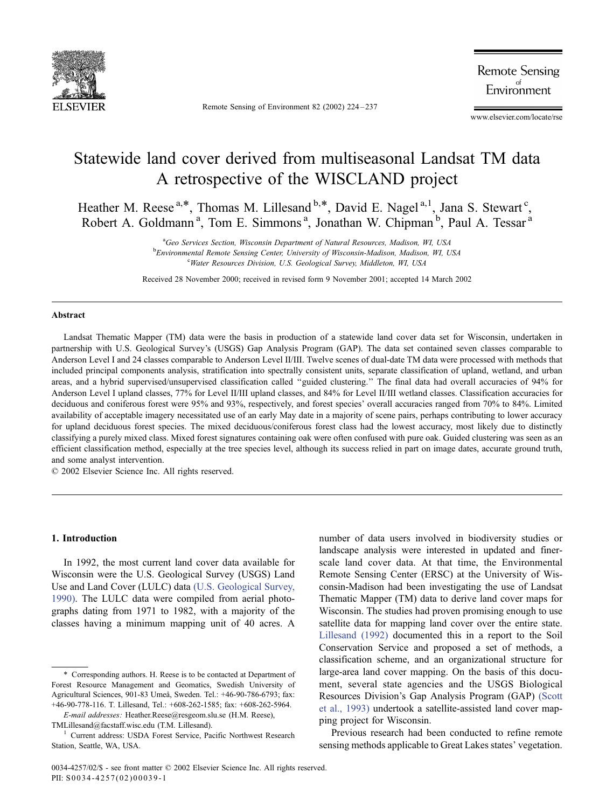

Remote Sensing of Environment 82 (2002) 224 – 237

**Remote Sensing** Environment

www.elsevier.com/locate/rse

# Statewide land cover derived from multiseasonal Landsat TM data A retrospective of the WISCLAND project

Heather M. Reese<sup>a,\*</sup>, Thomas M. Lillesand <sup>b,\*</sup>, David E. Nagel<sup>a,1</sup>, Jana S. Stewart<sup>c</sup>, Robert A. Goldmann<sup>a</sup>, Tom E. Simmons<sup>a</sup>, Jonathan W. Chipman<sup>b</sup>, Paul A. Tessar<sup>a</sup>

> <sup>a</sup>Geo Services Section. Wisconsin Department of Natural Resources, Madison, WI, USA <sup>a</sup>Geo Services Section, Wisconsin Department of Natural Resources, Madison, WI, USA<br><sup>b</sup>Emvironmental Remote Sensing Center University of Wisconsin Medican, Medican, WL I Environmental Remote Sensing Center, University of Wisconsin-Madison, Madison, WI, USA <sup>c</sup> Water Resources Division, U.S. Geological Survey, Middleton, WI, USA

Received 28 November 2000; received in revised form 9 November 2001; accepted 14 March 2002

#### Abstract

Landsat Thematic Mapper (TM) data were the basis in production of a statewide land cover data set for Wisconsin, undertaken in partnership with U.S. Geological Survey's (USGS) Gap Analysis Program (GAP). The data set contained seven classes comparable to Anderson Level I and 24 classes comparable to Anderson Level II/III. Twelve scenes of dual-date TM data were processed with methods that included principal components analysis, stratification into spectrally consistent units, separate classification of upland, wetland, and urban areas, and a hybrid supervised/unsupervised classification called ''guided clustering.'' The final data had overall accuracies of 94% for Anderson Level I upland classes, 77% for Level II/III upland classes, and 84% for Level II/III wetland classes. Classification accuracies for deciduous and coniferous forest were 95% and 93%, respectively, and forest species' overall accuracies ranged from 70% to 84%. Limited availability of acceptable imagery necessitated use of an early May date in a majority of scene pairs, perhaps contributing to lower accuracy for upland deciduous forest species. The mixed deciduous/coniferous forest class had the lowest accuracy, most likely due to distinctly classifying a purely mixed class. Mixed forest signatures containing oak were often confused with pure oak. Guided clustering was seen as an efficient classification method, especially at the tree species level, although its success relied in part on image dates, accurate ground truth, and some analyst intervention.

 $© 2002 Elsevier Science Inc. All rights reserved.$ 

# 1. Introduction

In 1992, the most current land cover data available for Wisconsin were the U.S. Geological Survey (USGS) Land Use and Land Cover (LULC) data [\(U.S. Geological Survey,](#page-13-0) 1990). The LULC data were compiled from aerial photographs dating from 1971 to 1982, with a majority of the classes having a minimum mapping unit of 40 acres. A

E-mail addresses: Heather.Reese@resgeom.slu.se (H.M. Reese), TMLillesand@facstaff.wisc.edu (T.M. Lillesand). <sup>1</sup> Current address: USDA Forest Service, Pacific Northwest Research number of data users involved in biodiversity studies or landscape analysis were interested in updated and finerscale land cover data. At that time, the Environmental Remote Sensing Center (ERSC) at the University of Wisconsin-Madison had been investigating the use of Landsat Thematic Mapper (TM) data to derive land cover maps for Wisconsin. The studies had proven promising enough to use satellite data for mapping land cover over the entire state. [Lillesand \(1992\)](#page-12-0) documented this in a report to the Soil Conservation Service and proposed a set of methods, a classification scheme, and an organizational structure for large-area land cover mapping. On the basis of this document, several state agencies and the USGS Biological Resources Division's Gap Analysis Program (GAP) [\(Scott](#page-13-0) et al., 1993) undertook a satellite-assisted land cover mapping project for Wisconsin.

Previous research had been conducted to refine remote sensing methods applicable to Great Lakes states' vegetation.

<sup>\*</sup> Corresponding authors. H. Reese is to be contacted at Department of Forest Resource Management and Geomatics, Swedish University of Agricultural Sciences, 901-83 Umeå, Sweden. Tel.: +46-90-786-6793; fax: +46-90-778-116. T. Lillesand, Tel.: +608-262-1585; fax: +608-262-5964.

Station, Seattle, WA, USA.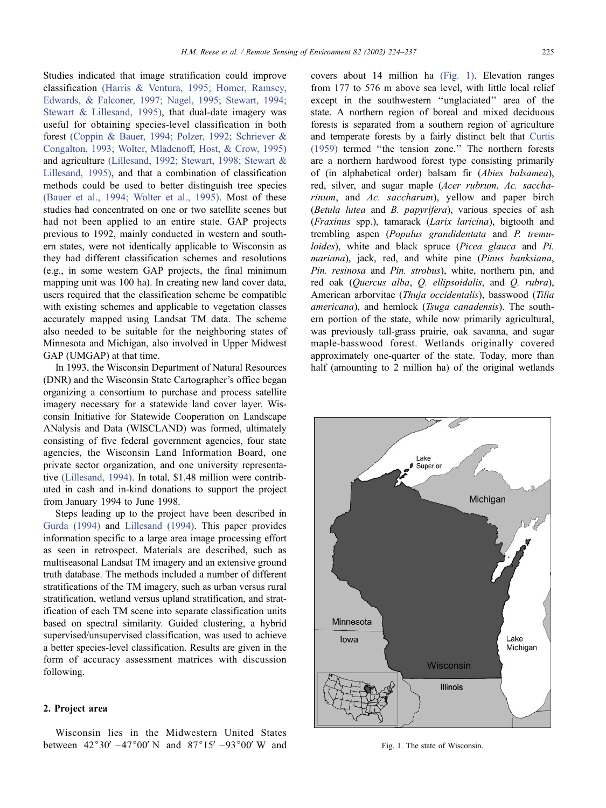Studies indicated that image stratification could improve classification [\(Harris & Ventura, 1995; Homer, Ramsey,](#page-12-0) Edwards, & Falconer, 1997; Nagel, 1995; Stewart, 1994; Stewart & Lillesand, 1995), that dual-date imagery was useful for obtaining species-level classification in both forest [\(Coppin & Bauer, 1994; Polzer, 1992; Schriever &](#page-12-0) Congalton, 1993; Wolter, Mladenoff, Host, & Crow, 1995) and agriculture [\(Lillesand, 1992; Stewart, 1998; Stewart &](#page-12-0) Lillesand, 1995), and that a combination of classification methods could be used to better distinguish tree species [\(Bauer et al., 1994; Wolter et al., 1995\).](#page-12-0) Most of these studies had concentrated on one or two satellite scenes but had not been applied to an entire state. GAP projects previous to 1992, mainly conducted in western and southern states, were not identically applicable to Wisconsin as they had different classification schemes and resolutions (e.g., in some western GAP projects, the final minimum mapping unit was 100 ha). In creating new land cover data, users required that the classification scheme be compatible with existing schemes and applicable to vegetation classes accurately mapped using Landsat TM data. The scheme also needed to be suitable for the neighboring states of Minnesota and Michigan, also involved in Upper Midwest GAP (UMGAP) at that time.

In 1993, the Wisconsin Department of Natural Resources (DNR) and the Wisconsin State Cartographer's office began organizing a consortium to purchase and process satellite imagery necessary for a statewide land cover layer. Wisconsin Initiative for Statewide Cooperation on Landscape ANalysis and Data (WISCLAND) was formed, ultimately consisting of five federal government agencies, four state agencies, the Wisconsin Land Information Board, one private sector organization, and one university representative [\(Lillesand, 1994\).](#page-12-0) In total, \$1.48 million were contributed in cash and in-kind donations to support the project from January 1994 to June 1998.

Steps leading up to the project have been described in [Gurda \(1994\)](#page-12-0) and [Lillesand \(1994\).](#page-12-0) This paper provides information specific to a large area image processing effort as seen in retrospect. Materials are described, such as multiseasonal Landsat TM imagery and an extensive ground truth database. The methods included a number of different stratifications of the TM imagery, such as urban versus rural stratification, wetland versus upland stratification, and stratification of each TM scene into separate classification units based on spectral similarity. Guided clustering, a hybrid supervised/unsupervised classification, was used to achieve a better species-level classification. Results are given in the form of accuracy assessment matrices with discussion following.

# 2. Project area

Wisconsin lies in the Midwestern United States between  $42^{\circ}30'$  – $47^{\circ}00'$  N and  $87^{\circ}15'$  – $93^{\circ}00'$  W and

covers about 14 million ha (Fig. 1). Elevation ranges from 177 to 576 m above sea level, with little local relief except in the southwestern ''unglaciated'' area of the state. A northern region of boreal and mixed deciduous forests is separated from a southern region of agriculture and temperate forests by a fairly distinct belt that [Curtis](#page-12-0) (1959) termed ''the tension zone.'' The northern forests are a northern hardwood forest type consisting primarily of (in alphabetical order) balsam fir (Abies balsamea), red, silver, and sugar maple (Acer rubrum, Ac. saccharinum, and Ac. saccharum), yellow and paper birch (Betula lutea and B. papyrifera), various species of ash (Fraxinus spp.), tamarack (Larix laricina), bigtooth and trembling aspen (Populus grandidentata and P. tremuloides), white and black spruce (Picea glauca and Pi. mariana), jack, red, and white pine (Pinus banksiana, Pin. resinosa and Pin. strobus), white, northern pin, and red oak (Quercus alba, Q. ellipsoidalis, and Q. rubra), American arborvitae (Thuja occidentalis), basswood (Tilia americana), and hemlock (Tsuga canadensis). The southern portion of the state, while now primarily agricultural, was previously tall-grass prairie, oak savanna, and sugar maple-basswood forest. Wetlands originally covered approximately one-quarter of the state. Today, more than half (amounting to 2 million ha) of the original wetlands



Fig. 1. The state of Wisconsin.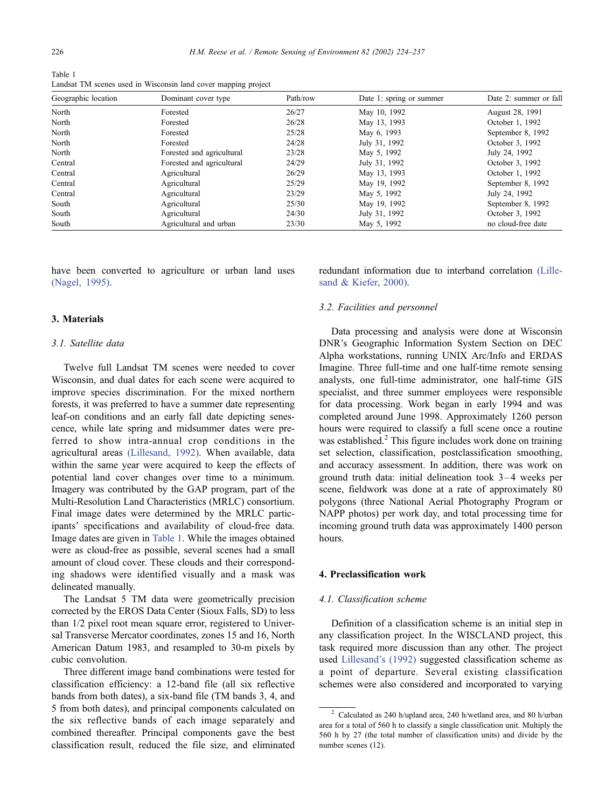Table 1 Landsat TM scenes used in Wisconsin land cover mapping project

| Geographic location | Dominant cover type       | Path/row | Date 1: spring or summer | Date 2: summer or fall |
|---------------------|---------------------------|----------|--------------------------|------------------------|
| North               | Forested                  | 26/27    | May 10, 1992             | August 28, 1991        |
| North               | Forested                  | 26/28    | May 13, 1993             | October 1, 1992        |
| North               | Forested                  | 25/28    | May 6, 1993              | September 8, 1992      |
| North               | Forested                  | 24/28    | July 31, 1992            | October 3, 1992        |
| North               | Forested and agricultural | 23/28    | May 5, 1992              | July 24, 1992          |
| Central             | Forested and agricultural | 24/29    | July 31, 1992            | October 3, 1992        |
| Central             | Agricultural              | 26/29    | May 13, 1993             | October 1, 1992        |
| Central             | Agricultural              | 25/29    | May 19, 1992             | September 8, 1992      |
| Central             | Agricultural              | 23/29    | May 5, 1992              | July 24, 1992          |
| South               | Agricultural              | 25/30    | May 19, 1992             | September 8, 1992      |
| South               | Agricultural              | 24/30    | July 31, 1992            | October 3, 1992        |
| South               | Agricultural and urban    | 23/30    | May 5, 1992              | no cloud-free date     |

have been converted to agriculture or urban land uses [\(Nagel, 1995\).](#page-12-0)

# 3. Materials

# 3.1. Satellite data

Twelve full Landsat TM scenes were needed to cover Wisconsin, and dual dates for each scene were acquired to improve species discrimination. For the mixed northern forests, it was preferred to have a summer date representing leaf-on conditions and an early fall date depicting senescence, while late spring and midsummer dates were preferred to show intra-annual crop conditions in the agricultural areas [\(Lillesand, 1992\).](#page-12-0) When available, data within the same year were acquired to keep the effects of potential land cover changes over time to a minimum. Imagery was contributed by the GAP program, part of the Multi-Resolution Land Characteristics (MRLC) consortium. Final image dates were determined by the MRLC participants' specifications and availability of cloud-free data. Image dates are given in Table 1. While the images obtained were as cloud-free as possible, several scenes had a small amount of cloud cover. These clouds and their corresponding shadows were identified visually and a mask was delineated manually.

The Landsat 5 TM data were geometrically precision corrected by the EROS Data Center (Sioux Falls, SD) to less than 1/2 pixel root mean square error, registered to Universal Transverse Mercator coordinates, zones 15 and 16, North American Datum 1983, and resampled to 30-m pixels by cubic convolution.

Three different image band combinations were tested for classification efficiency: a 12-band file (all six reflective bands from both dates), a six-band file (TM bands 3, 4, and 5 from both dates), and principal components calculated on the six reflective bands of each image separately and combined thereafter. Principal components gave the best classification result, reduced the file size, and eliminated

redundant information due to interband correlation [\(Lille](#page-12-0)sand & Kiefer, 2000).

#### 3.2. Facilities and personnel

Data processing and analysis were done at Wisconsin DNR's Geographic Information System Section on DEC Alpha workstations, running UNIX Arc/Info and ERDAS Imagine. Three full-time and one half-time remote sensing analysts, one full-time administrator, one half-time GIS specialist, and three summer employees were responsible for data processing. Work began in early 1994 and was completed around June 1998. Approximately 1260 person hours were required to classify a full scene once a routine was established.<sup>2</sup> This figure includes work done on training set selection, classification, postclassification smoothing, and accuracy assessment. In addition, there was work on ground truth data: initial delineation took 3 – 4 weeks per scene, fieldwork was done at a rate of approximately 80 polygons (three National Aerial Photography Program or NAPP photos) per work day, and total processing time for incoming ground truth data was approximately 1400 person hours.

# 4. Preclassification work

#### 4.1. Classification scheme

Definition of a classification scheme is an initial step in any classification project. In the WISCLAND project, this task required more discussion than any other. The project used [Lillesand's \(1992\)](#page-12-0) suggested classification scheme as a point of departure. Several existing classification schemes were also considered and incorporated to varying

 $^2\,$  Calculated as 240 h/upland area, 240 h/wetland area, and 80 h/urban area for a total of 560 h to classify a single classification unit. Multiply the 560 h by 27 (the total number of classification units) and divide by the number scenes (12).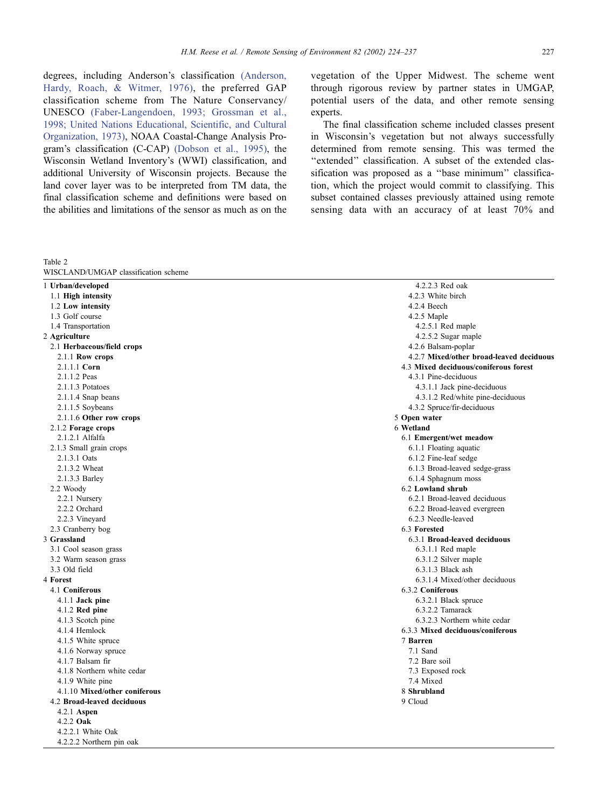<span id="page-3-0"></span>degrees, including Anderson's classification [\(Anderson,](#page-12-0) Hardy, Roach, & Witmer, 1976), the preferred GAP classification scheme from The Nature Conservancy/ UNESCO [\(Faber-Langendoen, 1993; Grossman et al.,](#page-12-0) 1998; United Nations Educational, Scientific, and Cultural Organization, 1973), NOAA Coastal-Change Analysis Program's classification (C-CAP) [\(Dobson et al., 1995\),](#page-12-0) the Wisconsin Wetland Inventory's (WWI) classification, and additional University of Wisconsin projects. Because the land cover layer was to be interpreted from TM data, the final classification scheme and definitions were based on the abilities and limitations of the sensor as much as on the

Table 2

vegetation of the Upper Midwest. The scheme went through rigorous review by partner states in UMGAP, potential users of the data, and other remote sensing experts.

The final classification scheme included classes present in Wisconsin's vegetation but not always successfully determined from remote sensing. This was termed the "extended" classification. A subset of the extended classification was proposed as a ''base minimum'' classification, which the project would commit to classifying. This subset contained classes previously attained using remote sensing data with an accuracy of at least 70% and

| WISCLAND/UMGAP classification scheme |                                          |  |  |  |
|--------------------------------------|------------------------------------------|--|--|--|
| 1 Urban/developed                    | 4.2.2.3 Red oak                          |  |  |  |
| 1.1 High intensity                   | 4.2.3 White birch                        |  |  |  |
| 1.2 Low intensity                    | 4.2.4 Beech                              |  |  |  |
| 1.3 Golf course                      | 4.2.5 Maple                              |  |  |  |
| 1.4 Transportation                   | $4.2.5.1$ Red maple                      |  |  |  |
| 2 Agriculture                        | 4.2.5.2 Sugar maple                      |  |  |  |
| 2.1 Herbaceous/field crops           | 4.2.6 Balsam-poplar                      |  |  |  |
| 2.1.1 Row crops                      | 4.2.7 Mixed/other broad-leaved deciduous |  |  |  |
| 2.1.1.1 Corn                         | 4.3 Mixed deciduous/coniferous forest    |  |  |  |
| 2.1.1.2 Peas                         | 4.3.1 Pine-deciduous                     |  |  |  |
| $2.1.1.3$ Potatoes                   | 4.3.1.1 Jack pine-deciduous              |  |  |  |
| 2.1.1.4 Snap beans                   | 4.3.1.2 Red/white pine-deciduous         |  |  |  |
| 2.1.1.5 Soybeans                     | 4.3.2 Spruce/fir-deciduous               |  |  |  |
| 2.1.1.6 Other row crops              | 5 Open water                             |  |  |  |
| 2.1.2 Forage crops                   | 6 Wetland                                |  |  |  |
| 2.1.2.1 Alfalfa                      | 6.1 Emergent/wet meadow                  |  |  |  |
| 2.1.3 Small grain crops              | 6.1.1 Floating aquatic                   |  |  |  |
| 2.1.3.1 Oats                         | 6.1.2 Fine-leaf sedge                    |  |  |  |
| 2.1.3.2 Wheat                        | 6.1.3 Broad-leaved sedge-grass           |  |  |  |
| 2.1.3.3 Barley                       | 6.1.4 Sphagnum moss                      |  |  |  |
| 2.2 Woody                            | 6.2 Lowland shrub                        |  |  |  |
| 2.2.1 Nursery                        | 6.2.1 Broad-leaved deciduous             |  |  |  |
| 2.2.2 Orchard                        | 6.2.2 Broad-leaved evergreen             |  |  |  |
| 2.2.3 Vineyard                       | 6.2.3 Needle-leaved                      |  |  |  |
| 2.3 Cranberry bog                    | 6.3 Forested                             |  |  |  |
| 3 Grassland                          | 6.3.1 Broad-leaved deciduous             |  |  |  |
| 3.1 Cool season grass                | 6.3.1.1 Red maple                        |  |  |  |
| 3.2 Warm season grass                | 6.3.1.2 Silver maple                     |  |  |  |
| 3.3 Old field                        | $6.3.1.3$ Black ash                      |  |  |  |
| 4 Forest                             | 6.3.1.4 Mixed/other deciduous            |  |  |  |
| 4.1 Coniferous                       | 6.3.2 Coniferous                         |  |  |  |
| 4.1.1 Jack pine                      | 6.3.2.1 Black spruce                     |  |  |  |
| $4.1.2$ Red pine                     | 6.3.2.2 Tamarack                         |  |  |  |
| 4.1.3 Scotch pine                    | 6.3.2.3 Northern white cedar             |  |  |  |
| 4.1.4 Hemlock                        | 6.3.3 Mixed deciduous/coniferous         |  |  |  |
| 4.1.5 White spruce                   | 7 Barren                                 |  |  |  |
| 4.1.6 Norway spruce                  | 7.1 Sand                                 |  |  |  |
| 4.1.7 Balsam fir                     | 7.2 Bare soil                            |  |  |  |
| 4.1.8 Northern white cedar           | 7.3 Exposed rock                         |  |  |  |
| 4.1.9 White pine<br>7.4 Mixed        |                                          |  |  |  |
| 4.1.10 Mixed/other coniferous        | 8 Shrubland                              |  |  |  |
| 4.2 Broad-leaved deciduous           | 9 Cloud                                  |  |  |  |
| $4.2.1$ Aspen                        |                                          |  |  |  |
| 4.2.2 Oak                            |                                          |  |  |  |
|                                      |                                          |  |  |  |

4.2.2.1 White Oak 4.2.2.2 Northern pin oak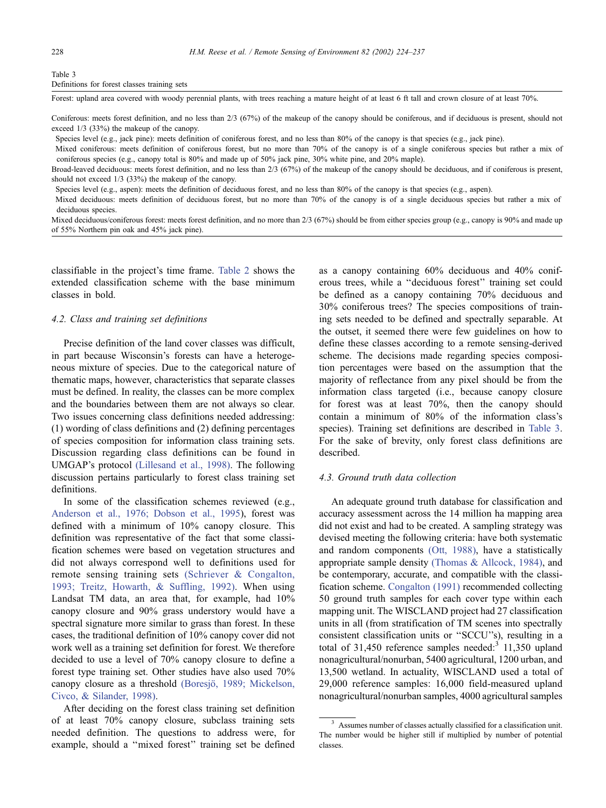#### Table 3

Definitions for forest classes training sets

Forest: upland area covered with woody perennial plants, with trees reaching a mature height of at least 6 ft tall and crown closure of at least 70%.

Coniferous: meets forest definition, and no less than 2/3 (67%) of the makeup of the canopy should be coniferous, and if deciduous is present, should not exceed 1/3 (33%) the makeup of the canopy.

Species level (e.g., jack pine): meets definition of coniferous forest, and no less than 80% of the canopy is that species (e.g., jack pine).

Mixed coniferous: meets definition of coniferous forest, but no more than 70% of the canopy is of a single coniferous species but rather a mix of coniferous species (e.g., canopy total is 80% and made up of 50% jack pine, 30% white pine, and 20% maple).

Broad-leaved deciduous: meets forest definition, and no less than 2/3 (67%) of the makeup of the canopy should be deciduous, and if coniferous is present, should not exceed 1/3 (33%) the makeup of the canopy.

Species level (e.g., aspen): meets the definition of deciduous forest, and no less than 80% of the canopy is that species (e.g., aspen).

Mixed deciduous: meets definition of deciduous forest, but no more than 70% of the canopy is of a single deciduous species but rather a mix of deciduous species.

Mixed deciduous/coniferous forest: meets forest definition, and no more than 2/3 (67%) should be from either species group (e.g., canopy is 90% and made up of 55% Northern pin oak and 45% jack pine).

classifiable in the project's time frame. [Table 2](#page-3-0) shows the extended classification scheme with the base minimum classes in bold.

#### 4.2. Class and training set definitions

Precise definition of the land cover classes was difficult, in part because Wisconsin's forests can have a heterogeneous mixture of species. Due to the categorical nature of thematic maps, however, characteristics that separate classes must be defined. In reality, the classes can be more complex and the boundaries between them are not always so clear. Two issues concerning class definitions needed addressing: (1) wording of class definitions and (2) defining percentages of species composition for information class training sets. Discussion regarding class definitions can be found in UMGAP's protocol [\(Lillesand et al., 1998\).](#page-12-0) The following discussion pertains particularly to forest class training set definitions.

In some of the classification schemes reviewed (e.g., [Anderson et al., 1976; Dobson et al., 1995\)](#page-12-0), forest was defined with a minimum of 10% canopy closure. This definition was representative of the fact that some classification schemes were based on vegetation structures and did not always correspond well to definitions used for remote sensing training sets [\(Schriever & Congalton,](#page-13-0) 1993; Treitz, Howarth, & Suffling, 1992). When using Landsat TM data, an area that, for example, had 10% canopy closure and 90% grass understory would have a spectral signature more similar to grass than forest. In these cases, the traditional definition of 10% canopy cover did not work well as a training set definition for forest. We therefore decided to use a level of 70% canopy closure to define a forest type training set. Other studies have also used 70% canopy closure as a threshold (Boresjö, 1989; Mickelson, Civco, & Silander, 1998).

After deciding on the forest class training set definition of at least 70% canopy closure, subclass training sets needed definition. The questions to address were, for example, should a ''mixed forest'' training set be defined

as a canopy containing 60% deciduous and 40% coniferous trees, while a ''deciduous forest'' training set could be defined as a canopy containing 70% deciduous and 30% coniferous trees? The species compositions of training sets needed to be defined and spectrally separable. At the outset, it seemed there were few guidelines on how to define these classes according to a remote sensing-derived scheme. The decisions made regarding species composition percentages were based on the assumption that the majority of reflectance from any pixel should be from the information class targeted (i.e., because canopy closure for forest was at least 70%, then the canopy should contain a minimum of 80% of the information class's species). Training set definitions are described in Table 3. For the sake of brevity, only forest class definitions are described.

## 4.3. Ground truth data collection

An adequate ground truth database for classification and accuracy assessment across the 14 million ha mapping area did not exist and had to be created. A sampling strategy was devised meeting the following criteria: have both systematic and random components [\(Ott, 1988\),](#page-13-0) have a statistically appropriate sample density [\(Thomas & Allcock, 1984\),](#page-13-0) and be contemporary, accurate, and compatible with the classification scheme. [Congalton \(1991\)](#page-12-0) recommended collecting 50 ground truth samples for each cover type within each mapping unit. The WISCLAND project had 27 classification units in all (from stratification of TM scenes into spectrally consistent classification units or ''SCCU''s), resulting in a total of 31,450 reference samples needed: $3$  11,350 upland nonagricultural/nonurban, 5400 agricultural, 1200 urban, and 13,500 wetland. In actuality, WISCLAND used a total of 29,000 reference samples: 16,000 field-measured upland nonagricultural/nonurban samples, 4000 agricultural samples

<sup>&</sup>lt;sup>3</sup> Assumes number of classes actually classified for a classification unit. The number would be higher still if multiplied by number of potential classes.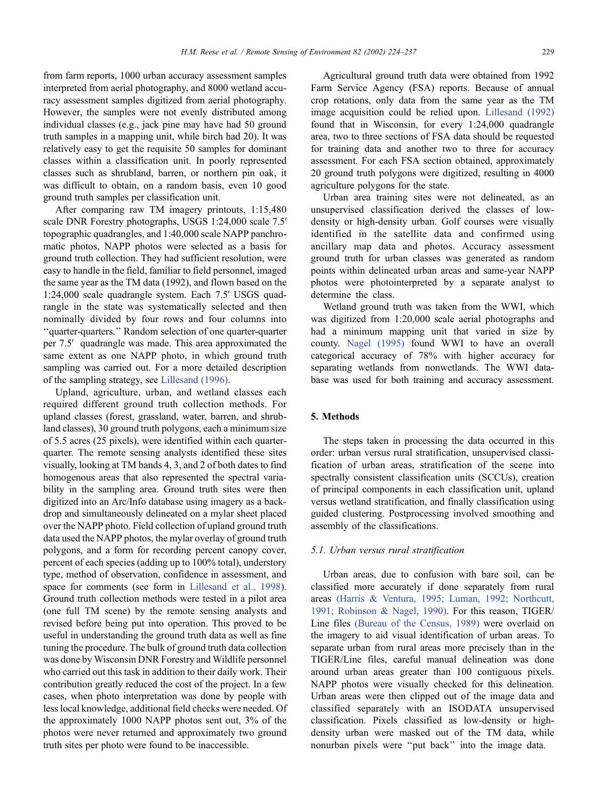from farm reports, 1000 urban accuracy assessment samples interpreted from aerial photography, and 8000 wetland accuracy assessment samples digitized from aerial photography. However, the samples were not evenly distributed among individual classes (e.g., jack pine may have had 50 ground truth samples in a mapping unit, while birch had 20). It was relatively easy to get the requisite 50 samples for dominant classes within a classification unit. In poorly represented classes such as shrubland, barren, or northern pin oak, it was difficult to obtain, on a random basis, even 10 good ground truth samples per classification unit.

After comparing raw TM imagery printouts, 1:15,480 scale DNR Forestry photographs, USGS 1:24,000 scale 7.5' topographic quadrangles, and 1:40,000 scale NAPP panchromatic photos, NAPP photos were selected as a basis for ground truth collection. They had sufficient resolution, were easy to handle in the field, familiar to field personnel, imaged the same year as the TM data (1992), and flown based on the  $1:24,000$  scale quadrangle system. Each  $7.5'$  USGS quadrangle in the state was systematically selected and then nominally divided by four rows and four columns into ''quarter-quarters.'' Random selection of one quarter-quarter per 7.5' quadrangle was made. This area approximated the same extent as one NAPP photo, in which ground truth sampling was carried out. For a more detailed description of the sampling strategy, see [Lillesand \(1996\).](#page-12-0)

Upland, agriculture, urban, and wetland classes each required different ground truth collection methods. For upland classes (forest, grassland, water, barren, and shrubland classes), 30 ground truth polygons, each a minimum size of 5.5 acres (25 pixels), were identified within each quarterquarter. The remote sensing analysts identified these sites visually, looking at TM bands 4, 3, and 2 of both dates to find homogenous areas that also represented the spectral variability in the sampling area. Ground truth sites were then digitized into an Arc/Info database using imagery as a backdrop and simultaneously delineated on a mylar sheet placed over the NAPP photo. Field collection of upland ground truth data used the NAPP photos, the mylar overlay of ground truth polygons, and a form for recording percent canopy cover, percent of each species (adding up to 100% total), understory type, method of observation, confidence in assessment, and space for comments (see form in [Lillesand et al., 1998\)](#page-12-0). Ground truth collection methods were tested in a pilot area (one full TM scene) by the remote sensing analysts and revised before being put into operation. This proved to be useful in understanding the ground truth data as well as fine tuning the procedure. The bulk of ground truth data collection was done by Wisconsin DNR Forestry and Wildlife personnel who carried out this task in addition to their daily work. Their contribution greatly reduced the cost of the project. In a few cases, when photo interpretation was done by people with less local knowledge, additional field checks were needed. Of the approximately 1000 NAPP photos sent out, 3% of the photos were never returned and approximately two ground truth sites per photo were found to be inaccessible.

Agricultural ground truth data were obtained from 1992 Farm Service Agency (FSA) reports. Because of annual crop rotations, only data from the same year as the TM image acquisition could be relied upon. [Lillesand \(1992\)](#page-12-0) found that in Wisconsin, for every 1:24,000 quadrangle area, two to three sections of FSA data should be requested for training data and another two to three for accuracy assessment. For each FSA section obtained, approximately 20 ground truth polygons were digitized, resulting in 4000 agriculture polygons for the state.

Urban area training sites were not delineated, as an unsupervised classification derived the classes of lowdensity or high-density urban. Golf courses were visually identified in the satellite data and confirmed using ancillary map data and photos. Accuracy assessment ground truth for urban classes was generated as random points within delineated urban areas and same-year NAPP photos were photointerpreted by a separate analyst to determine the class.

Wetland ground truth was taken from the WWI, which was digitized from 1:20,000 scale aerial photographs and had a minimum mapping unit that varied in size by county. [Nagel \(1995\)](#page-12-0) found WWI to have an overall categorical accuracy of 78% with higher accuracy for separating wetlands from nonwetlands. The WWI database was used for both training and accuracy assessment.

### 5. Methods

The steps taken in processing the data occurred in this order: urban versus rural stratification, unsupervised classification of urban areas, stratification of the scene into spectrally consistent classification units (SCCUs), creation of principal components in each classification unit, upland versus wetland stratification, and finally classification using guided clustering. Postprocessing involved smoothing and assembly of the classifications.

#### 5.1. Urban versus rural stratification

Urban areas, due to confusion with bare soil, can be classified more accurately if done separately from rural areas [\(Harris & Ventura, 1995; Luman, 1992; Northcutt,](#page-12-0) 1991; Robinson & Nagel, 1990). For this reason, TIGER/ Line files [\(Bureau of the Census, 1989\)](#page-12-0) were overlaid on the imagery to aid visual identification of urban areas. To separate urban from rural areas more precisely than in the TIGER/Line files, careful manual delineation was done around urban areas greater than 100 contiguous pixels. NAPP photos were visually checked for this delineation. Urban areas were then clipped out of the image data and classified separately with an ISODATA unsupervised classification. Pixels classified as low-density or highdensity urban were masked out of the TM data, while nonurban pixels were ''put back'' into the image data.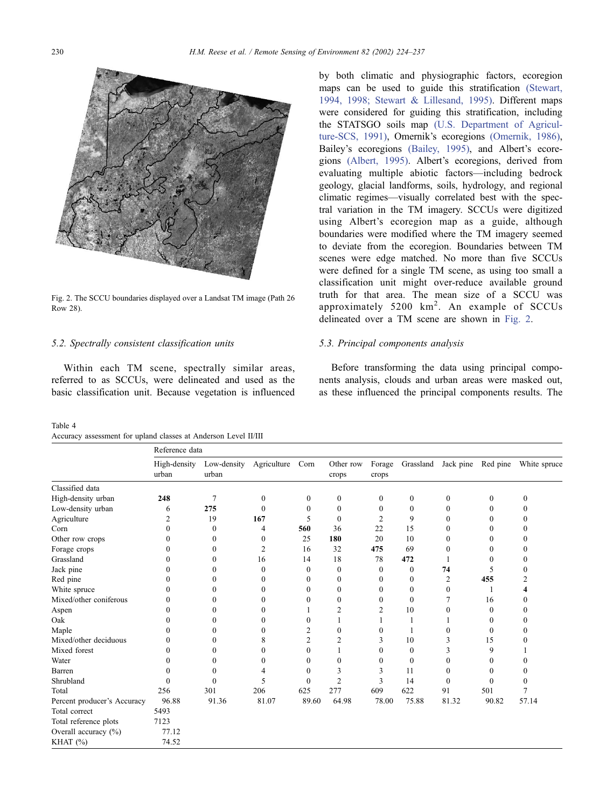

Fig. 2. The SCCU boundaries displayed over a Landsat TM image (Path 26 Row 28).

#### 5.2. Spectrally consistent classification units

Within each TM scene, spectrally similar areas, referred to as SCCUs, were delineated and used as the basic classification unit. Because vegetation is influenced

Table 4 Accuracy assessment for upland classes at Anderson Level II/III

by both climatic and physiographic factors, ecoregion maps can be used to guide this stratification [\(Stewart,](#page-13-0) 1994, 1998; Stewart & Lillesand, 1995). Different maps were considered for guiding this stratification, including the STATSGO soils map [\(U.S. Department of Agricul](#page-13-0)ture-SCS, 1991), Omernik's ecoregions [\(Omernik, 1986\),](#page-12-0) Bailey's ecoregions [\(Bailey, 1995\),](#page-12-0) and Albert's ecoregions [\(Albert, 1995\).](#page-12-0) Albert's ecoregions, derived from evaluating multiple abiotic factors—including bedrock geology, glacial landforms, soils, hydrology, and regional climatic regimes—visually correlated best with the spectral variation in the TM imagery. SCCUs were digitized using Albert's ecoregion map as a guide, although boundaries were modified where the TM imagery seemed to deviate from the ecoregion. Boundaries between TM scenes were edge matched. No more than five SCCUs were defined for a single TM scene, as using too small a classification unit might over-reduce available ground truth for that area. The mean size of a SCCU was approximately  $5200 \text{ km}^2$ . An example of SCCUs delineated over a TM scene are shown in Fig. 2.

# 5.3. Principal components analysis

Before transforming the data using principal components analysis, clouds and urban areas were masked out, as these influenced the principal components results. The

|                             | Reference data        |                      |                |                  |                    |                  |                  |                  |                  |                  |  |
|-----------------------------|-----------------------|----------------------|----------------|------------------|--------------------|------------------|------------------|------------------|------------------|------------------|--|
|                             | High-density<br>urban | Low-density<br>urban | Agriculture    | Corn             | Other row<br>crops | Forage<br>crops  | Grassland        | Jack pine        | Red pine         | White spruce     |  |
| Classified data             |                       |                      |                |                  |                    |                  |                  |                  |                  |                  |  |
| High-density urban          | 248                   | 7                    | $\mathbf{0}$   | $\mathbf{0}$     | $\boldsymbol{0}$   | $\boldsymbol{0}$ | $\boldsymbol{0}$ | $\boldsymbol{0}$ | $\boldsymbol{0}$ | $\mathbf{0}$     |  |
| Low-density urban           | 6                     | 275                  | $\mathbf{0}$   | $\Omega$         | $\boldsymbol{0}$   | $\mathbf{0}$     | $\mathbf{0}$     | $\mathbf{0}$     | 0                | $\mathbf{0}$     |  |
| Agriculture                 | $\overline{2}$        | 19                   | 167            | 5                | $\mathbf{0}$       | $\overline{2}$   | 9                | $\mathbf{0}$     | 0                | $\Omega$         |  |
| Corn                        | $\theta$              | $\boldsymbol{0}$     | 4              | 560              | 36                 | 22               | 15               | $\mathbf{0}$     | $\theta$         | $\Omega$         |  |
| Other row crops             | $\Omega$              | $\mathbf{0}$         | 0              | 25               | 180                | 20               | 10               | $\mathbf{0}$     | $\theta$         | $\Omega$         |  |
| Forage crops                | 0                     | $\mathbf{0}$         | $\overline{2}$ | 16               | 32                 | 475              | 69               | $\mathbf{0}$     | 0                | $\Omega$         |  |
| Grassland                   | 0                     | 0                    | 16             | 14               | 18                 | 78               | 472              |                  | $\theta$         | $\mathbf{0}$     |  |
| Jack pine                   | $\Omega$              | $\theta$             | $\theta$       | $\bf{0}$         | $\mathbf{0}$       | $\bf{0}$         | $\mathbf{0}$     | 74               | 5                | $\Omega$         |  |
| Red pine                    | 0                     | 0                    | $\theta$       | $\Omega$         | $\boldsymbol{0}$   | $\theta$         | $\mathbf{0}$     | $\overline{2}$   | 455              | $\overline{2}$   |  |
| White spruce                | 0                     | 0                    | $\theta$       | $\Omega$         | $\mathbf{0}$       | $\theta$         | $\Omega$         | $\Omega$         | 1                | 4                |  |
| Mixed/other coniferous      | 0                     | $\theta$             | $\theta$       | $\Omega$         | $\mathbf{0}$       | $\theta$         | $\mathbf{0}$     | 7                | 16               | $\Omega$         |  |
| Aspen                       | 0                     | $\Omega$             | $\Omega$       |                  | 2                  | 2                | 10               | $\Omega$         | $\Omega$         | $\Omega$         |  |
| Oak                         | 0                     | $\theta$             | $\theta$       | $\theta$         |                    |                  |                  |                  | $\theta$         | $\Omega$         |  |
| Maple                       | 0                     | 0                    | 0              | $\overline{2}$   | $\mathbf{0}$       | $\mathbf{0}$     |                  | 0                | $\mathbf{0}$     | $\theta$         |  |
| Mixed/other deciduous       | 0                     | $\theta$             | 8              | $\overline{2}$   | 2                  | 3                | 10               | 3                | 15               | $\mathbf{0}$     |  |
| Mixed forest                | 0                     | 0                    | $\mathbf{0}$   | $\boldsymbol{0}$ |                    | $\theta$         | $\mathbf{0}$     | 3                | 9                |                  |  |
| Water                       | 0                     | $\theta$             | $\theta$       | $\Omega$         | $\mathbf{0}$       | $\Omega$         | $\mathbf{0}$     | 0                | $\theta$         | $\Omega$         |  |
| Barren                      | $\theta$              | $\theta$             | 4              | $\theta$         | 3                  | 3                | 11               | 0                | $\theta$         | $\boldsymbol{0}$ |  |
| Shrubland                   | $\theta$              | $\Omega$             | 5              | $\theta$         | $\overline{2}$     | 3                | 14               | $\mathbf{0}$     | $\theta$         | $\Omega$         |  |
| Total                       | 256                   | 301                  | 206            | 625              | 277                | 609              | 622              | 91               | 501              | 7                |  |
| Percent producer's Accuracy | 96.88                 | 91.36                | 81.07          | 89.60            | 64.98              | 78.00            | 75.88            | 81.32            | 90.82            | 57.14            |  |
| Total correct               | 5493                  |                      |                |                  |                    |                  |                  |                  |                  |                  |  |
| Total reference plots       | 7123                  |                      |                |                  |                    |                  |                  |                  |                  |                  |  |
| Overall accuracy (%)        | 77.12                 |                      |                |                  |                    |                  |                  |                  |                  |                  |  |
| KHAT $(\%)$                 | 74.52                 |                      |                |                  |                    |                  |                  |                  |                  |                  |  |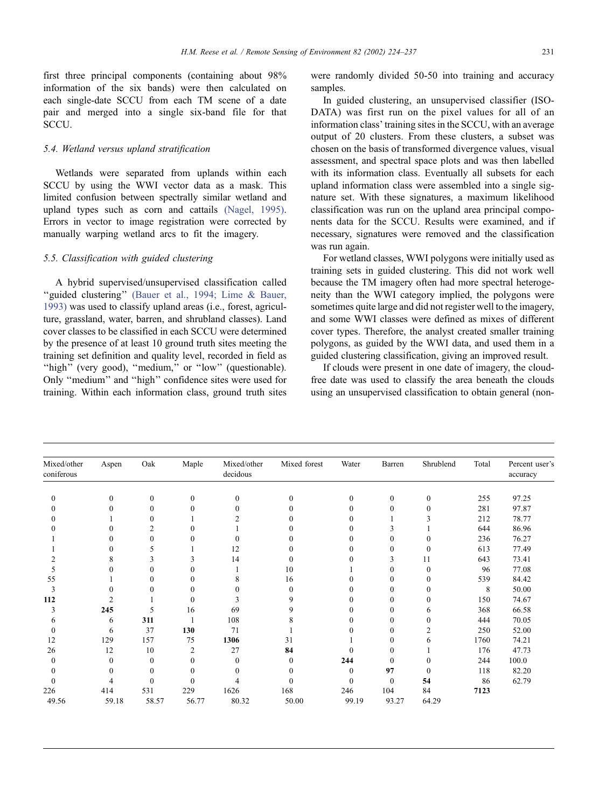<span id="page-7-0"></span>first three principal components (containing about 98% information of the six bands) were then calculated on each single-date SCCU from each TM scene of a date pair and merged into a single six-band file for that SCCU.

# 5.4. Wetland versus upland stratification

Wetlands were separated from uplands within each SCCU by using the WWI vector data as a mask. This limited confusion between spectrally similar wetland and upland types such as corn and cattails [\(Nagel, 1995\).](#page-12-0) Errors in vector to image registration were corrected by manually warping wetland arcs to fit the imagery.

# 5.5. Classification with guided clustering

A hybrid supervised/unsupervised classification called "guided clustering" [\(Bauer et al., 1994; Lime & Bauer,](#page-12-0) 1993) was used to classify upland areas (i.e., forest, agriculture, grassland, water, barren, and shrubland classes). Land cover classes to be classified in each SCCU were determined by the presence of at least 10 ground truth sites meeting the training set definition and quality level, recorded in field as "high" (very good), "medium," or "low" (questionable). Only ''medium'' and ''high'' confidence sites were used for training. Within each information class, ground truth sites were randomly divided 50-50 into training and accuracy samples.

In guided clustering, an unsupervised classifier (ISO-DATA) was first run on the pixel values for all of an information class' training sites in the SCCU, with an average output of 20 clusters. From these clusters, a subset was chosen on the basis of transformed divergence values, visual assessment, and spectral space plots and was then labelled with its information class. Eventually all subsets for each upland information class were assembled into a single signature set. With these signatures, a maximum likelihood classification was run on the upland area principal components data for the SCCU. Results were examined, and if necessary, signatures were removed and the classification was run again.

For wetland classes, WWI polygons were initially used as training sets in guided clustering. This did not work well because the TM imagery often had more spectral heterogeneity than the WWI category implied, the polygons were sometimes quite large and did not register well to the imagery. and some WWI classes were defined as mixes of different cover types. Therefore, the analyst created smaller training polygons, as guided by the WWI data, and used them in a guided clustering classification, giving an improved result.

If clouds were present in one date of imagery, the cloudfree date was used to classify the area beneath the clouds using an unsupervised classification to obtain general (non-

| Mixed/other<br>coniferous | Aspen          | Oak          | Maple    | Mixed/other<br>decidous | Mixed forest | Water    | Barren       | Shrublend    | Total | Percent user's<br>accuracy |
|---------------------------|----------------|--------------|----------|-------------------------|--------------|----------|--------------|--------------|-------|----------------------------|
|                           |                |              |          |                         |              |          |              |              |       |                            |
| $\mathbf{0}$              | $\Omega$       | $\mathbf{0}$ | $\Omega$ | $\mathbf{0}$            | $\Omega$     | $\theta$ | $\mathbf{0}$ | $\mathbf{0}$ | 255   | 97.25                      |
| $\Omega$                  |                | $\Omega$     |          | $\Omega$                | $\theta$     | $\Omega$ | 0            | $\mathbf{0}$ | 281   | 97.87                      |
|                           |                | $\theta$     |          |                         | 0            | 0        |              |              | 212   | 78.77                      |
|                           |                | 2            | 0        |                         | $\theta$     | $\Omega$ | 3            |              | 644   | 86.96                      |
|                           |                | $\Omega$     |          | $\theta$                | $\theta$     | $\Omega$ | 0            | $\theta$     | 236   | 76.27                      |
|                           |                | 5            |          | 12                      | $\mathbf{0}$ | $\Omega$ | 0            | $\mathbf{0}$ | 613   | 77.49                      |
|                           | 8              | 3            | 3        | 14                      | $\mathbf{0}$ | 0        | 3            | 11           | 643   | 73.41                      |
| 5                         |                | $\Omega$     | 0        |                         | 10           |          | 0            | $\mathbf{0}$ | 96    | 77.08                      |
| 55                        |                | $\Omega$     | 0        | 8                       | 16           | 0        | 0            | $\mathbf{0}$ | 539   | 84.42                      |
| 3                         |                | $\Omega$     | $\theta$ | $\theta$                | $\mathbf{0}$ | 0        | 0            | $\mathbf{0}$ | 8     | 50.00                      |
| 112                       | $\overline{c}$ |              | $\theta$ |                         | 9            | 0        | 0            | $\Omega$     | 150   | 74.67                      |
| 3                         | 245            | 5            | 16       | 69                      | 9            | 0        | $\Omega$     | 6            | 368   | 66.58                      |
| 6                         | 6              | 311          |          | 108                     |              | 0        | 0            | $\theta$     | 444   | 70.05                      |
| $\theta$                  | 6              | 37           | 130      | 71                      |              |          | 0            | 2            | 250   | 52.00                      |
| 12                        | 129            | 157          | 75       | 1306                    | 31           |          | 0            | 6            | 1760  | 74.21                      |
| 26                        | 12             | 10           | 2        | 27                      | 84           | 0        | 0            |              | 176   | 47.73                      |
| $\Omega$                  | 0              | $\mathbf{0}$ | 0        | $\Omega$                | $\mathbf{0}$ | 244      | 0            | $\mathbf{0}$ | 244   | 100.0                      |
| 0                         |                | $\mathbf{0}$ | 0        | 0                       | $\theta$     | $\theta$ | 97           | $\mathbf{0}$ | 118   | 82.20                      |
| $\theta$                  | 4              | $\Omega$     | 0        |                         | 0            | $\Omega$ | $\Omega$     | 54           | 86    | 62.79                      |
| 226                       | 414            | 531          | 229      | 1626                    | 168          | 246      | 104          | 84           | 7123  |                            |
| 49.56                     | 59.18          | 58.57        | 56.77    | 80.32                   | 50.00        | 99.19    | 93.27        | 64.29        |       |                            |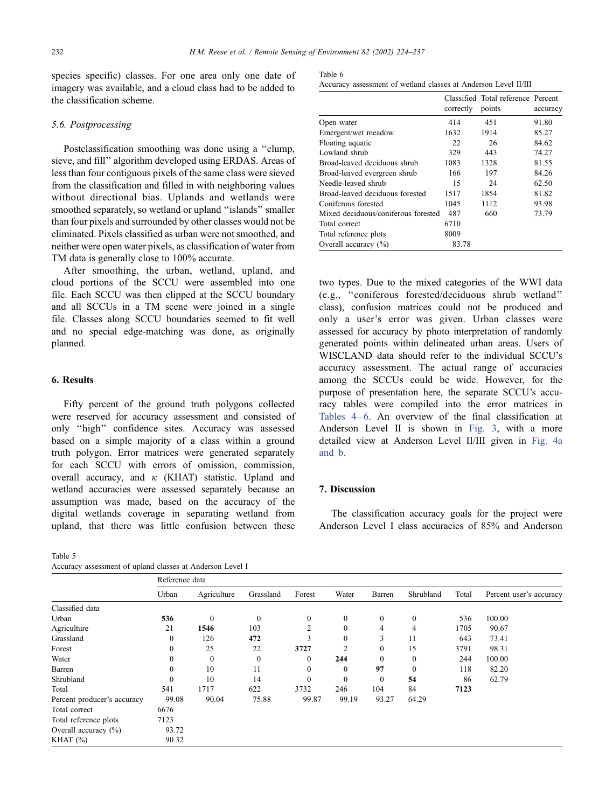species specific) classes. For one area only one date of imagery was available, and a cloud class had to be added to the classification scheme.

# 5.6. Postprocessing

Postclassification smoothing was done using a ''clump, sieve, and fill'' algorithm developed using ERDAS. Areas of less than four contiguous pixels of the same class were sieved from the classification and filled in with neighboring values without directional bias. Uplands and wetlands were smoothed separately, so wetland or upland ''islands'' smaller than four pixels and surrounded by other classes would not be eliminated. Pixels classified as urban were not smoothed, and neither were open water pixels, as classification of water from TM data is generally close to 100% accurate.

After smoothing, the urban, wetland, upland, and cloud portions of the SCCU were assembled into one file. Each SCCU was then clipped at the SCCU boundary and all SCCUs in a TM scene were joined in a single file. Classes along SCCU boundaries seemed to fit well and no special edge-matching was done, as originally planned.

# 6. Results

Fifty percent of the ground truth polygons collected were reserved for accuracy assessment and consisted of only ''high'' confidence sites. Accuracy was assessed based on a simple majority of a class within a ground truth polygon. Error matrices were generated separately for each SCCU with errors of omission, commission, overall accuracy, and  $\kappa$  (KHAT) statistic. Upland and wetland accuracies were assessed separately because an assumption was made, based on the accuracy of the digital wetlands coverage in separating wetland from upland, that there was little confusion between these

Table 5

| Accuracy assessment of upland classes at Anderson Level I |  |  |  |  |
|-----------------------------------------------------------|--|--|--|--|
|-----------------------------------------------------------|--|--|--|--|

| Table 6                                                         |  |  |  |  |
|-----------------------------------------------------------------|--|--|--|--|
| Accuracy assessment of wetland classes at Anderson Level II/III |  |  |  |  |

|                                     | correctly | Classified Total reference Percent<br>points | accuracy |
|-------------------------------------|-----------|----------------------------------------------|----------|
| Open water                          | 414       | 451                                          | 91.80    |
| Emergent/wet meadow                 | 1632      | 1914                                         | 85.27    |
| Floating aquatic                    | 22        | 26                                           | 84.62    |
| Lowland shrub                       | 329       | 443                                          | 74.27    |
| Broad-leaved deciduous shrub        | 1083      | 1328                                         | 81.55    |
| Broad-leaved evergreen shrub        | 166       | 197                                          | 84.26    |
| Needle-leaved shrub                 | 15        | 24                                           | 62.50    |
| Broad-leaved deciduous forested     | 1517      | 1854                                         | 81.82    |
| Coniferous forested                 | 1045      | 1112                                         | 93.98    |
| Mixed deciduous/coniferous forested | 487       | 660                                          | 73.79    |
| Total correct                       | 6710      |                                              |          |
| Total reference plots               | 8009      |                                              |          |
| Overall accuracy $(\%)$             | 83.78     |                                              |          |

two types. Due to the mixed categories of the WWI data (e.g., ''coniferous forested/deciduous shrub wetland'' class), confusion matrices could not be produced and only a user's error was given. Urban classes were assessed for accuracy by photo interpretation of randomly generated points within delineated urban areas. Users of WISCLAND data should refer to the individual SCCU's accuracy assessment. The actual range of accuracies among the SCCUs could be wide. However, for the purpose of presentation here, the separate SCCU's accuracy tables were compiled into the error matrices in Tables  $4-6$ . An overview of the final classification at Anderson Level II is shown in [Fig. 3,](#page-9-0) with a more detailed view at Anderson Level II/III given in [Fig. 4a](#page-10-0) and b.

#### 7. Discussion

The classification accuracy goals for the project were Anderson Level I class accuracies of 85% and Anderson

|                             | Reference data |              |              |                |              |              |              |       |                         |  |
|-----------------------------|----------------|--------------|--------------|----------------|--------------|--------------|--------------|-------|-------------------------|--|
|                             | Urban          | Agriculture  | Grassland    | Forest         | Water        | Barren       | Shrubland    | Total | Percent user's accuracy |  |
| Classified data             |                |              |              |                |              |              |              |       |                         |  |
| Urban                       | 536            | $\mathbf{0}$ | $\mathbf{0}$ | $\overline{0}$ | $\mathbf{0}$ | $\mathbf{0}$ | $\mathbf{0}$ | 536   | 100.00                  |  |
| Agriculture                 | 21             | 1546         | 103          | 2              | $\theta$     | 4            | 4            | 1705  | 90.67                   |  |
| Grassland                   | 0              | 126          | 472          | 3              | $\theta$     | 3            | 11           | 643   | 73.41                   |  |
| Forest                      |                | 25           | 22           | 3727           |              | $\mathbf{0}$ | 15           | 3791  | 98.31                   |  |
| Water                       |                | $\mathbf{0}$ | $\mathbf{0}$ | $\mathbf{0}$   | 244          | $\mathbf{0}$ | $\Omega$     | 244   | 100.00                  |  |
| Barren                      |                | 10           | 11           | $\theta$       | $\theta$     | 97           |              | 118   | 82.20                   |  |
| Shrubland                   | $\Omega$       | 10           | 14           | $\mathbf{0}$   | $\theta$     | $\mathbf{0}$ | 54           | 86    | 62.79                   |  |
| Total                       | 541            | 1717         | 622          | 3732           | 246          | 104          | 84           | 7123  |                         |  |
| Percent producer's accuracy | 99.08          | 90.04        | 75.88        | 99.87          | 99.19        | 93.27        | 64.29        |       |                         |  |
| Total correct               | 6676           |              |              |                |              |              |              |       |                         |  |
| Total reference plots       | 7123           |              |              |                |              |              |              |       |                         |  |
| Overall accuracy $(\%)$     | 93.72          |              |              |                |              |              |              |       |                         |  |
| KHAT $(\%)$                 | 90.32          |              |              |                |              |              |              |       |                         |  |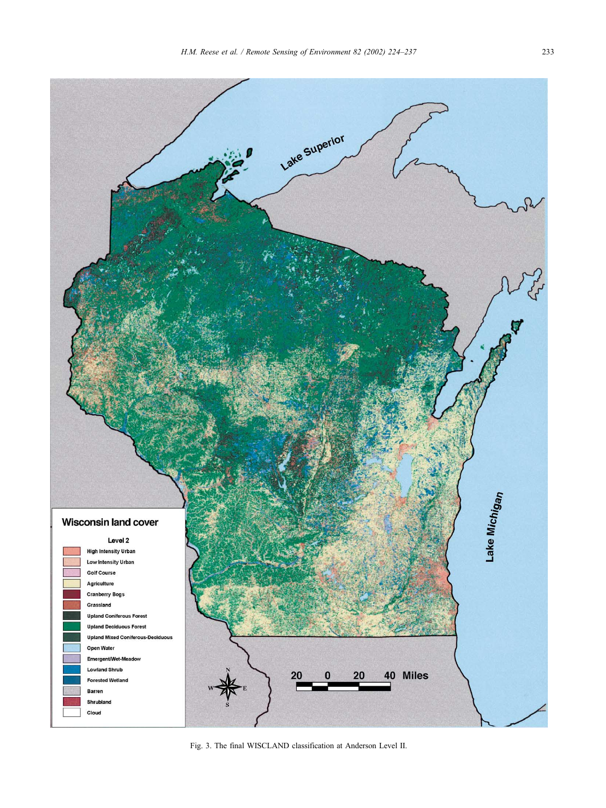<span id="page-9-0"></span>

Fig. 3. The final WISCLAND classification at Anderson Level II.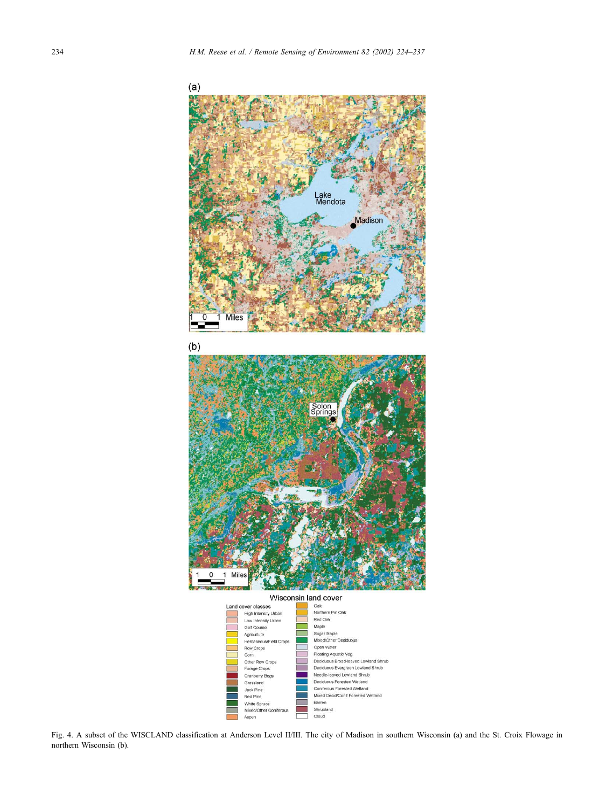<span id="page-10-0"></span>

Fig. 4. A subset of the WISCLAND classification at Anderson Level II/III. The city of Madison in southern Wisconsin (a) and the St. Croix Flowage in northern Wisconsin (b).

Barren<br>Shrubland

Cloud

Coniferous Forested Wetland<br>Mixed Decid/Conif Forested Wetland

Grassland

Jack Pine Red Pine

White Spruce Mixed/Other Conif

Aspen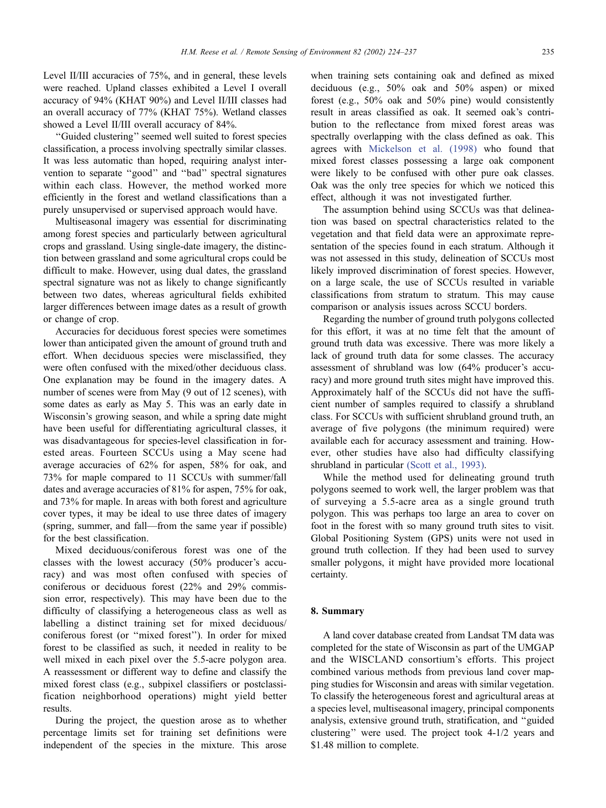Level II/III accuracies of 75%, and in general, these levels were reached. Upland classes exhibited a Level I overall accuracy of 94% (KHAT 90%) and Level II/III classes had an overall accuracy of 77% (KHAT 75%). Wetland classes showed a Level II/III overall accuracy of 84%.

''Guided clustering'' seemed well suited to forest species classification, a process involving spectrally similar classes. It was less automatic than hoped, requiring analyst intervention to separate ''good'' and ''bad'' spectral signatures within each class. However, the method worked more efficiently in the forest and wetland classifications than a purely unsupervised or supervised approach would have.

Multiseasonal imagery was essential for discriminating among forest species and particularly between agricultural crops and grassland. Using single-date imagery, the distinction between grassland and some agricultural crops could be difficult to make. However, using dual dates, the grassland spectral signature was not as likely to change significantly between two dates, whereas agricultural fields exhibited larger differences between image dates as a result of growth or change of crop.

Accuracies for deciduous forest species were sometimes lower than anticipated given the amount of ground truth and effort. When deciduous species were misclassified, they were often confused with the mixed/other deciduous class. One explanation may be found in the imagery dates. A number of scenes were from May (9 out of 12 scenes), with some dates as early as May 5. This was an early date in Wisconsin's growing season, and while a spring date might have been useful for differentiating agricultural classes, it was disadvantageous for species-level classification in forested areas. Fourteen SCCUs using a May scene had average accuracies of 62% for aspen, 58% for oak, and 73% for maple compared to 11 SCCUs with summer/fall dates and average accuracies of 81% for aspen, 75% for oak, and 73% for maple. In areas with both forest and agriculture cover types, it may be ideal to use three dates of imagery (spring, summer, and fall—from the same year if possible) for the best classification.

Mixed deciduous/coniferous forest was one of the classes with the lowest accuracy (50% producer's accuracy) and was most often confused with species of coniferous or deciduous forest (22% and 29% commission error, respectively). This may have been due to the difficulty of classifying a heterogeneous class as well as labelling a distinct training set for mixed deciduous/ coniferous forest (or ''mixed forest''). In order for mixed forest to be classified as such, it needed in reality to be well mixed in each pixel over the 5.5-acre polygon area. A reassessment or different way to define and classify the mixed forest class (e.g., subpixel classifiers or postclassification neighborhood operations) might yield better results.

During the project, the question arose as to whether percentage limits set for training set definitions were independent of the species in the mixture. This arose

when training sets containing oak and defined as mixed deciduous (e.g., 50% oak and 50% aspen) or mixed forest (e.g., 50% oak and 50% pine) would consistently result in areas classified as oak. It seemed oak's contribution to the reflectance from mixed forest areas was spectrally overlapping with the class defined as oak. This agrees with [Mickelson et al. \(1998\)](#page-12-0) who found that mixed forest classes possessing a large oak component were likely to be confused with other pure oak classes. Oak was the only tree species for which we noticed this effect, although it was not investigated further.

The assumption behind using SCCUs was that delineation was based on spectral characteristics related to the vegetation and that field data were an approximate representation of the species found in each stratum. Although it was not assessed in this study, delineation of SCCUs most likely improved discrimination of forest species. However, on a large scale, the use of SCCUs resulted in variable classifications from stratum to stratum. This may cause comparison or analysis issues across SCCU borders.

Regarding the number of ground truth polygons collected for this effort, it was at no time felt that the amount of ground truth data was excessive. There was more likely a lack of ground truth data for some classes. The accuracy assessment of shrubland was low (64% producer's accuracy) and more ground truth sites might have improved this. Approximately half of the SCCUs did not have the sufficient number of samples required to classify a shrubland class. For SCCUs with sufficient shrubland ground truth, an average of five polygons (the minimum required) were available each for accuracy assessment and training. However, other studies have also had difficulty classifying shrubland in particular [\(Scott et al., 1993\).](#page-13-0)

While the method used for delineating ground truth polygons seemed to work well, the larger problem was that of surveying a 5.5-acre area as a single ground truth polygon. This was perhaps too large an area to cover on foot in the forest with so many ground truth sites to visit. Global Positioning System (GPS) units were not used in ground truth collection. If they had been used to survey smaller polygons, it might have provided more locational certainty.

### 8. Summary

A land cover database created from Landsat TM data was completed for the state of Wisconsin as part of the UMGAP and the WISCLAND consortium's efforts. This project combined various methods from previous land cover mapping studies for Wisconsin and areas with similar vegetation. To classify the heterogeneous forest and agricultural areas at a species level, multiseasonal imagery, principal components analysis, extensive ground truth, stratification, and ''guided clustering'' were used. The project took 4-1/2 years and \$1.48 million to complete.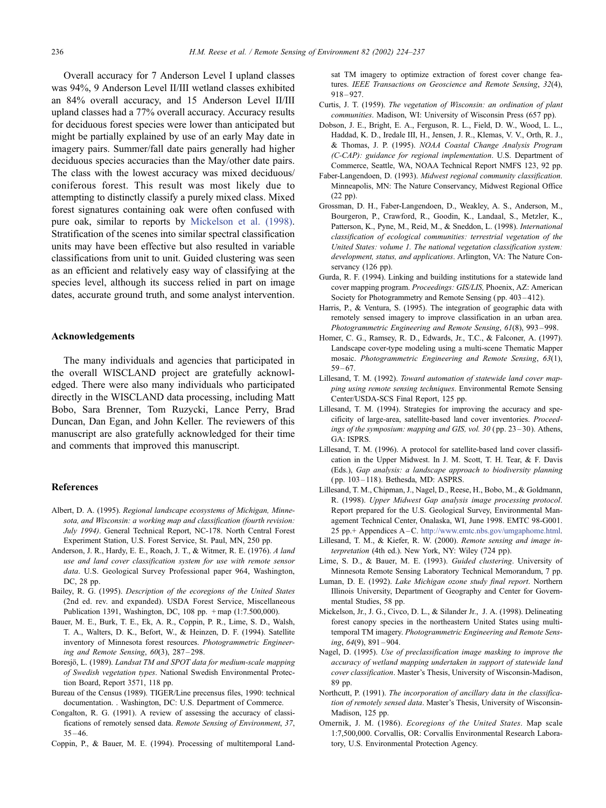<span id="page-12-0"></span>Overall accuracy for 7 Anderson Level I upland classes was 94%, 9 Anderson Level II/III wetland classes exhibited an 84% overall accuracy, and 15 Anderson Level II/III upland classes had a 77% overall accuracy. Accuracy results for deciduous forest species were lower than anticipated but might be partially explained by use of an early May date in imagery pairs. Summer/fall date pairs generally had higher deciduous species accuracies than the May/other date pairs. The class with the lowest accuracy was mixed deciduous/ coniferous forest. This result was most likely due to attempting to distinctly classify a purely mixed class. Mixed forest signatures containing oak were often confused with pure oak, similar to reports by Mickelson et al. (1998). Stratification of the scenes into similar spectral classification units may have been effective but also resulted in variable classifications from unit to unit. Guided clustering was seen as an efficient and relatively easy way of classifying at the species level, although its success relied in part on image dates, accurate ground truth, and some analyst intervention.

# Acknowledgements

The many individuals and agencies that participated in the overall WISCLAND project are gratefully acknowledged. There were also many individuals who participated directly in the WISCLAND data processing, including Matt Bobo, Sara Brenner, Tom Ruzycki, Lance Perry, Brad Duncan, Dan Egan, and John Keller. The reviewers of this manuscript are also gratefully acknowledged for their time and comments that improved this manuscript.

# References

- Albert, D. A. (1995). Regional landscape ecosystems of Michigan, Minnesota, and Wisconsin: a working map and classification (fourth revision: July 1994). General Technical Report, NC-178. North Central Forest Experiment Station, U.S. Forest Service, St. Paul, MN, 250 pp.
- Anderson, J. R., Hardy, E. E., Roach, J. T., & Witmer, R. E. (1976). A land use and land cover classification system for use with remote sensor data. U.S. Geological Survey Professional paper 964, Washington, DC, 28 pp.
- Bailey, R. G. (1995). Description of the ecoregions of the United States (2nd ed. rev. and expanded). USDA Forest Service, Miscellaneous Publication 1391, Washington, DC, 108 pp. + map (1:7.500,000).
- Bauer, M. E., Burk, T. E., Ek, A. R., Coppin, P. R., Lime, S. D., Walsh, T. A., Walters, D. K., Befort, W., & Heinzen, D. F. (1994). Satellite inventory of Minnesota forest resources. Photogrammetric Engineering and Remote Sensing, 60(3), 287 – 298.
- Boresjö, L. (1989). Landsat TM and SPOT data for medium-scale mapping of Swedish vegetation types. National Swedish Environmental Protection Board, Report 3571, 118 pp.
- Bureau of the Census (1989). TIGER/Line precensus files, 1990: technical documentation. . Washington, DC: U.S. Department of Commerce.
- Congalton, R. G. (1991). A review of assessing the accuracy of classifications of remotely sensed data. Remote Sensing of Environment, 37,  $35 - 46$
- Coppin, P., & Bauer, M. E. (1994). Processing of multitemporal Land-

sat TM imagery to optimize extraction of forest cover change features. IEEE Transactions on Geoscience and Remote Sensing, 32(4),  $918 - 927$ 

- Curtis, J. T. (1959). The vegetation of Wisconsin: an ordination of plant communities. Madison, WI: University of Wisconsin Press (657 pp).
- Dobson, J. E., Bright, E. A., Ferguson, R. L., Field, D. W., Wood, L. L., Haddad, K. D., Iredale III, H., Jensen, J. R., Klemas, V. V., Orth, R. J., & Thomas, J. P. (1995). NOAA Coastal Change Analysis Program (C-CAP): guidance for regional implementation. U.S. Department of Commerce, Seattle, WA, NOAA Technical Report NMFS 123, 92 pp.
- Faber-Langendoen, D. (1993). Midwest regional community classification. Minneapolis, MN: The Nature Conservancy, Midwest Regional Office (22 pp).
- Grossman, D. H., Faber-Langendoen, D., Weakley, A. S., Anderson, M., Bourgeron, P., Crawford, R., Goodin, K., Landaal, S., Metzler, K., Patterson, K., Pyne, M., Reid, M., & Sneddon, L. (1998). International classification of ecological communities: terrestrial vegetation of the United States: volume 1. The national vegetation classification system: development, status, and applications. Arlington, VA: The Nature Conservancy (126 pp).
- Gurda, R. F. (1994). Linking and building institutions for a statewide land cover mapping program. Proceedings: GIS/LIS, Phoenix, AZ: American Society for Photogrammetry and Remote Sensing (pp. 403-412).
- Harris, P., & Ventura, S. (1995). The integration of geographic data with remotely sensed imagery to improve classification in an urban area. Photogrammetric Engineering and Remote Sensing, 61(8), 993 – 998.
- Homer, C. G., Ramsey, R. D., Edwards, Jr., T.C., & Falconer, A. (1997). Landscape cover-type modeling using a multi-scene Thematic Mapper mosaic. Photogrammetric Engineering and Remote Sensing, 63(1),  $59 - 67.$
- Lillesand, T. M. (1992). Toward automation of statewide land cover mapping using remote sensing techniques. Environmental Remote Sensing Center/USDA-SCS Final Report, 125 pp.
- Lillesand, T. M. (1994). Strategies for improving the accuracy and specificity of large-area, satellite-based land cover inventories. Proceedings of the symposium: mapping and GIS, vol. 30 ( pp. 23 – 30). Athens, GA: ISPRS.
- Lillesand, T. M. (1996). A protocol for satellite-based land cover classification in the Upper Midwest. In J. M. Scott, T. H. Tear, & F. Davis (Eds.), Gap analysis: a landscape approach to biodiversity planning ( pp. 103 – 118). Bethesda, MD: ASPRS.
- Lillesand, T. M., Chipman, J., Nagel, D., Reese, H., Bobo, M., & Goldmann, R. (1998). Upper Midwest Gap analysis image processing protocol. Report prepared for the U.S. Geological Survey, Environmental Management Technical Center, Onalaska, WI, June 1998. EMTC 98-G001. 25 pp.+ Appendices A –C. [http://www.emtc.nbs.gov/umgaphome.html.]( http:\\www.emtc.nbs.gov\umgaphome.html )
- Lillesand, T. M., & Kiefer, R. W. (2000). Remote sensing and image interpretation (4th ed.). New York, NY: Wiley (724 pp).
- Lime, S. D., & Bauer, M. E. (1993). Guided clustering. University of Minnesota Remote Sensing Laboratory Technical Memorandum, 7 pp.
- Luman, D. E. (1992). Lake Michigan ozone study final report. Northern Illinois University, Department of Geography and Center for Governmental Studies, 58 pp.
- Mickelson, Jr., J. G., Civco, D. L., & Silander Jr., J. A. (1998). Delineating forest canopy species in the northeastern United States using multitemporal TM imagery. Photogrammetric Engineering and Remote Sensing, 64(9), 891 – 904.
- Nagel, D. (1995). Use of preclassification image masking to improve the accuracy of wetland mapping undertaken in support of statewide land cover classification. Master's Thesis, University of Wisconsin-Madison, 89 pp.
- Northcutt, P. (1991). The incorporation of ancillary data in the classification of remotely sensed data. Master's Thesis, University of Wisconsin-Madison, 125 pp.
- Omernik, J. M. (1986). Ecoregions of the United States. Map scale 1:7,500,000. Corvallis, OR: Corvallis Environmental Research Laboratory, U.S. Environmental Protection Agency.